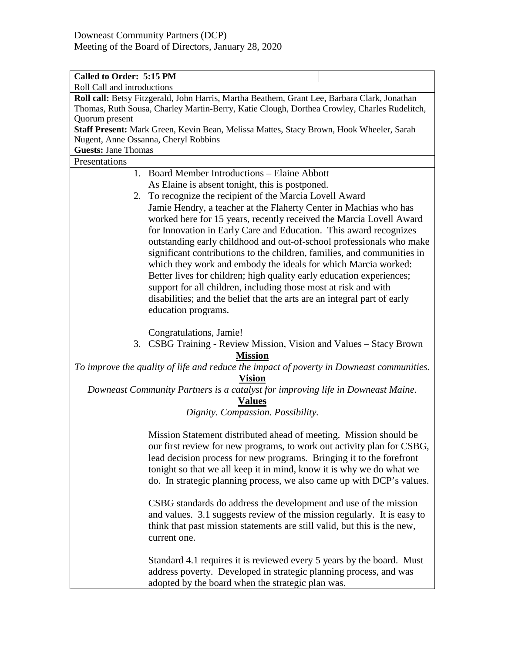| Called to Order: 5:15 PM                                                                     |                                                                          |                                                                                         |  |  |  |
|----------------------------------------------------------------------------------------------|--------------------------------------------------------------------------|-----------------------------------------------------------------------------------------|--|--|--|
| Roll Call and introductions                                                                  |                                                                          |                                                                                         |  |  |  |
| Roll call: Betsy Fitzgerald, John Harris, Martha Beathem, Grant Lee, Barbara Clark, Jonathan |                                                                          |                                                                                         |  |  |  |
| Thomas, Ruth Sousa, Charley Martin-Berry, Katie Clough, Dorthea Crowley, Charles Rudelitch,  |                                                                          |                                                                                         |  |  |  |
| Quorum present                                                                               |                                                                          |                                                                                         |  |  |  |
|                                                                                              |                                                                          | Staff Present: Mark Green, Kevin Bean, Melissa Mattes, Stacy Brown, Hook Wheeler, Sarah |  |  |  |
| Nugent, Anne Ossanna, Cheryl Robbins                                                         |                                                                          |                                                                                         |  |  |  |
| <b>Guests: Jane Thomas</b>                                                                   |                                                                          |                                                                                         |  |  |  |
| Presentations                                                                                |                                                                          |                                                                                         |  |  |  |
|                                                                                              | 1. Board Member Introductions – Elaine Abbott                            |                                                                                         |  |  |  |
|                                                                                              |                                                                          | As Elaine is absent tonight, this is postponed.                                         |  |  |  |
|                                                                                              | 2. To recognize the recipient of the Marcia Lovell Award                 |                                                                                         |  |  |  |
|                                                                                              | Jamie Hendry, a teacher at the Flaherty Center in Machias who has        |                                                                                         |  |  |  |
|                                                                                              | worked here for 15 years, recently received the Marcia Lovell Award      |                                                                                         |  |  |  |
|                                                                                              | for Innovation in Early Care and Education. This award recognizes        |                                                                                         |  |  |  |
|                                                                                              | outstanding early childhood and out-of-school professionals who make     |                                                                                         |  |  |  |
|                                                                                              |                                                                          | significant contributions to the children, families, and communities in                 |  |  |  |
|                                                                                              |                                                                          | which they work and embody the ideals for which Marcia worked:                          |  |  |  |
|                                                                                              |                                                                          | Better lives for children; high quality early education experiences;                    |  |  |  |
|                                                                                              |                                                                          | support for all children, including those most at risk and with                         |  |  |  |
|                                                                                              |                                                                          | disabilities; and the belief that the arts are an integral part of early                |  |  |  |
|                                                                                              | education programs.                                                      |                                                                                         |  |  |  |
|                                                                                              |                                                                          |                                                                                         |  |  |  |
|                                                                                              | Congratulations, Jamie!                                                  |                                                                                         |  |  |  |
|                                                                                              |                                                                          | 3. CSBG Training - Review Mission, Vision and Values - Stacy Brown                      |  |  |  |
|                                                                                              |                                                                          | <b>Mission</b>                                                                          |  |  |  |
| To improve the quality of life and reduce the impact of poverty in Downeast communities.     |                                                                          |                                                                                         |  |  |  |
| <b>Vision</b>                                                                                |                                                                          |                                                                                         |  |  |  |
|                                                                                              |                                                                          | Downeast Community Partners is a catalyst for improving life in Downeast Maine.         |  |  |  |
| <b>Values</b>                                                                                |                                                                          |                                                                                         |  |  |  |
| Dignity. Compassion. Possibility.                                                            |                                                                          |                                                                                         |  |  |  |
|                                                                                              |                                                                          |                                                                                         |  |  |  |
|                                                                                              | Mission Statement distributed ahead of meeting. Mission should be        |                                                                                         |  |  |  |
|                                                                                              | our first review for new programs, to work out activity plan for CSBG,   |                                                                                         |  |  |  |
| lead decision process for new programs. Bringing it to the forefront                         |                                                                          |                                                                                         |  |  |  |
| tonight so that we all keep it in mind, know it is why we do what we                         |                                                                          |                                                                                         |  |  |  |
|                                                                                              | do. In strategic planning process, we also came up with DCP's values.    |                                                                                         |  |  |  |
|                                                                                              |                                                                          |                                                                                         |  |  |  |
| CSBG standards do address the development and use of the mission                             |                                                                          |                                                                                         |  |  |  |
|                                                                                              | and values. 3.1 suggests review of the mission regularly. It is easy to  |                                                                                         |  |  |  |
|                                                                                              | think that past mission statements are still valid, but this is the new, |                                                                                         |  |  |  |
|                                                                                              | current one.                                                             |                                                                                         |  |  |  |
|                                                                                              |                                                                          |                                                                                         |  |  |  |
|                                                                                              | Standard 4.1 requires it is reviewed every 5 years by the board. Must    |                                                                                         |  |  |  |
|                                                                                              |                                                                          | address poverty. Developed in strategic planning process, and was                       |  |  |  |
|                                                                                              |                                                                          | adopted by the board when the strategic plan was.                                       |  |  |  |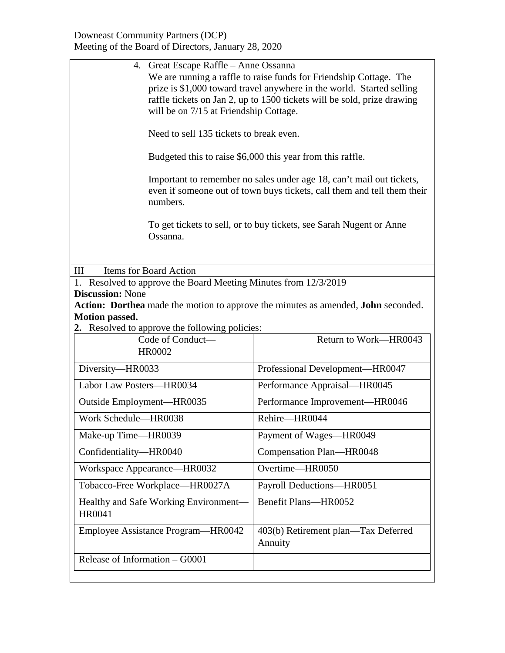| 4. Great Escape Raffle – Anne Ossanna<br>We are running a raffle to raise funds for Friendship Cottage. The<br>prize is \$1,000 toward travel anywhere in the world. Started selling<br>raffle tickets on Jan 2, up to 1500 tickets will be sold, prize drawing<br>will be on 7/15 at Friendship Cottage. |                                                |  |  |  |
|-----------------------------------------------------------------------------------------------------------------------------------------------------------------------------------------------------------------------------------------------------------------------------------------------------------|------------------------------------------------|--|--|--|
| Need to sell 135 tickets to break even.                                                                                                                                                                                                                                                                   |                                                |  |  |  |
| Budgeted this to raise \$6,000 this year from this raffle.                                                                                                                                                                                                                                                |                                                |  |  |  |
| Important to remember no sales under age 18, can't mail out tickets,<br>even if someone out of town buys tickets, call them and tell them their<br>numbers.                                                                                                                                               |                                                |  |  |  |
| To get tickets to sell, or to buy tickets, see Sarah Nugent or Anne<br>Ossanna.                                                                                                                                                                                                                           |                                                |  |  |  |
| Items for Board Action<br>III                                                                                                                                                                                                                                                                             |                                                |  |  |  |
| 1. Resolved to approve the Board Meeting Minutes from 12/3/2019                                                                                                                                                                                                                                           |                                                |  |  |  |
| <b>Discussion:</b> None                                                                                                                                                                                                                                                                                   |                                                |  |  |  |
| Action: Dorthea made the motion to approve the minutes as amended, John seconded.                                                                                                                                                                                                                         |                                                |  |  |  |
| <b>Motion passed.</b>                                                                                                                                                                                                                                                                                     |                                                |  |  |  |
| 2. Resolved to approve the following policies:<br>Code of Conduct-                                                                                                                                                                                                                                        | Return to Work-HR0043                          |  |  |  |
| <b>HR0002</b>                                                                                                                                                                                                                                                                                             |                                                |  |  |  |
| Diversity-HR0033                                                                                                                                                                                                                                                                                          | Professional Development-HR0047                |  |  |  |
| Labor Law Posters-HR0034                                                                                                                                                                                                                                                                                  | Performance Appraisal-HR0045                   |  |  |  |
| Outside Employment-HR0035                                                                                                                                                                                                                                                                                 | Performance Improvement-HR0046                 |  |  |  |
| Work Schedule-HR0038                                                                                                                                                                                                                                                                                      | Rehire-HR0044                                  |  |  |  |
| Make-up Time—HR0039                                                                                                                                                                                                                                                                                       | Payment of Wages-HR0049                        |  |  |  |
| Confidentiality-HR0040                                                                                                                                                                                                                                                                                    | Compensation Plan-HR0048                       |  |  |  |
| Workspace Appearance-HR0032                                                                                                                                                                                                                                                                               | Overtime-HR0050                                |  |  |  |
| Tobacco-Free Workplace-HR0027A                                                                                                                                                                                                                                                                            | Payroll Deductions-HR0051                      |  |  |  |
| Healthy and Safe Working Environment-<br>HR0041                                                                                                                                                                                                                                                           | Benefit Plans-HR0052                           |  |  |  |
| Employee Assistance Program—HR0042                                                                                                                                                                                                                                                                        | 403(b) Retirement plan—Tax Deferred<br>Annuity |  |  |  |
| Release of Information – G0001                                                                                                                                                                                                                                                                            |                                                |  |  |  |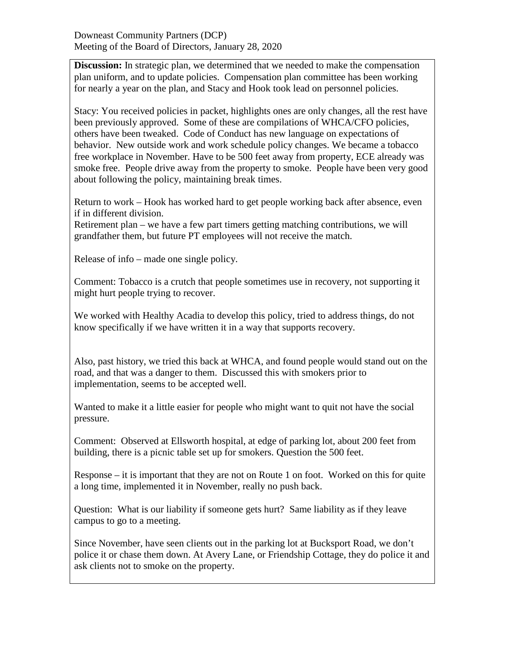**Discussion:** In strategic plan, we determined that we needed to make the compensation plan uniform, and to update policies. Compensation plan committee has been working for nearly a year on the plan, and Stacy and Hook took lead on personnel policies.

Stacy: You received policies in packet, highlights ones are only changes, all the rest have been previously approved. Some of these are compilations of WHCA/CFO policies, others have been tweaked. Code of Conduct has new language on expectations of behavior. New outside work and work schedule policy changes. We became a tobacco free workplace in November. Have to be 500 feet away from property, ECE already was smoke free. People drive away from the property to smoke. People have been very good about following the policy, maintaining break times.

Return to work – Hook has worked hard to get people working back after absence, even if in different division.

Retirement plan – we have a few part timers getting matching contributions, we will grandfather them, but future PT employees will not receive the match.

Release of info – made one single policy.

Comment: Tobacco is a crutch that people sometimes use in recovery, not supporting it might hurt people trying to recover.

We worked with Healthy Acadia to develop this policy, tried to address things, do not know specifically if we have written it in a way that supports recovery.

Also, past history, we tried this back at WHCA, and found people would stand out on the road, and that was a danger to them. Discussed this with smokers prior to implementation, seems to be accepted well.

Wanted to make it a little easier for people who might want to quit not have the social pressure.

Comment: Observed at Ellsworth hospital, at edge of parking lot, about 200 feet from building, there is a picnic table set up for smokers. Question the 500 feet.

Response – it is important that they are not on Route 1 on foot. Worked on this for quite a long time, implemented it in November, really no push back.

Question: What is our liability if someone gets hurt? Same liability as if they leave campus to go to a meeting.

Since November, have seen clients out in the parking lot at Bucksport Road, we don't police it or chase them down. At Avery Lane, or Friendship Cottage, they do police it and ask clients not to smoke on the property.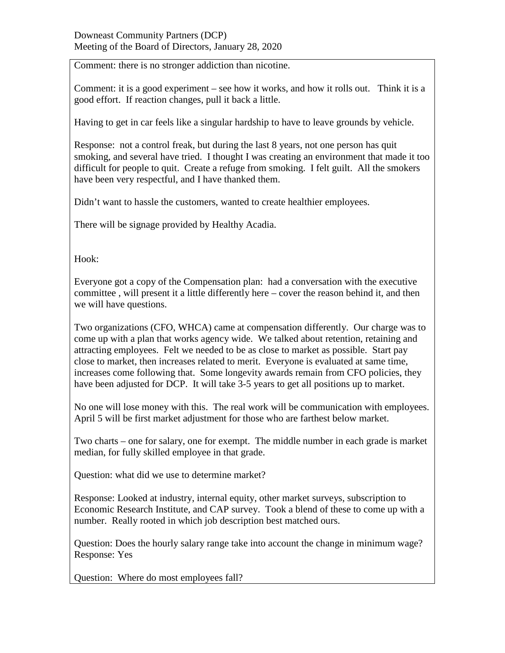Comment: there is no stronger addiction than nicotine.

Comment: it is a good experiment – see how it works, and how it rolls out. Think it is a good effort. If reaction changes, pull it back a little.

Having to get in car feels like a singular hardship to have to leave grounds by vehicle.

Response: not a control freak, but during the last 8 years, not one person has quit smoking, and several have tried. I thought I was creating an environment that made it too difficult for people to quit. Create a refuge from smoking. I felt guilt. All the smokers have been very respectful, and I have thanked them.

Didn't want to hassle the customers, wanted to create healthier employees.

There will be signage provided by Healthy Acadia.

Hook:

Everyone got a copy of the Compensation plan: had a conversation with the executive committee , will present it a little differently here – cover the reason behind it, and then we will have questions.

Two organizations (CFO, WHCA) came at compensation differently. Our charge was to come up with a plan that works agency wide. We talked about retention, retaining and attracting employees. Felt we needed to be as close to market as possible. Start pay close to market, then increases related to merit. Everyone is evaluated at same time, increases come following that. Some longevity awards remain from CFO policies, they have been adjusted for DCP. It will take 3-5 years to get all positions up to market.

No one will lose money with this. The real work will be communication with employees. April 5 will be first market adjustment for those who are farthest below market.

Two charts – one for salary, one for exempt. The middle number in each grade is market median, for fully skilled employee in that grade.

Question: what did we use to determine market?

Response: Looked at industry, internal equity, other market surveys, subscription to Economic Research Institute, and CAP survey. Took a blend of these to come up with a number. Really rooted in which job description best matched ours.

Question: Does the hourly salary range take into account the change in minimum wage? Response: Yes

Question: Where do most employees fall?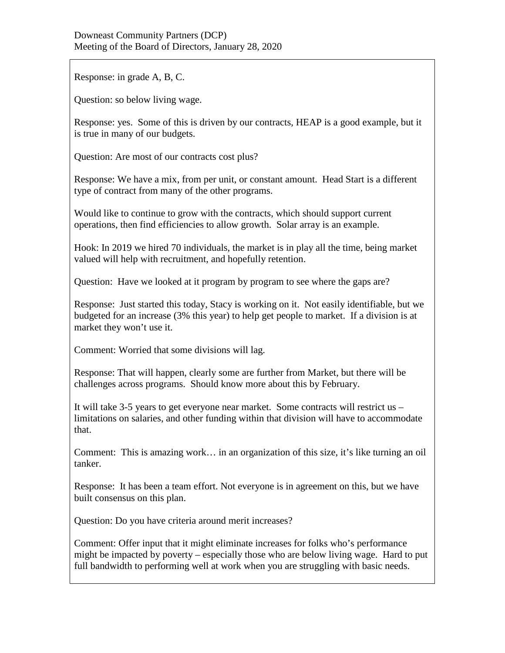Response: in grade A, B, C.

Question: so below living wage.

Response: yes. Some of this is driven by our contracts, HEAP is a good example, but it is true in many of our budgets.

Question: Are most of our contracts cost plus?

Response: We have a mix, from per unit, or constant amount. Head Start is a different type of contract from many of the other programs.

Would like to continue to grow with the contracts, which should support current operations, then find efficiencies to allow growth. Solar array is an example.

Hook: In 2019 we hired 70 individuals, the market is in play all the time, being market valued will help with recruitment, and hopefully retention.

Question: Have we looked at it program by program to see where the gaps are?

Response: Just started this today, Stacy is working on it. Not easily identifiable, but we budgeted for an increase (3% this year) to help get people to market. If a division is at market they won't use it.

Comment: Worried that some divisions will lag.

Response: That will happen, clearly some are further from Market, but there will be challenges across programs. Should know more about this by February.

It will take 3-5 years to get everyone near market. Some contracts will restrict us – limitations on salaries, and other funding within that division will have to accommodate that.

Comment: This is amazing work… in an organization of this size, it's like turning an oil tanker.

Response: It has been a team effort. Not everyone is in agreement on this, but we have built consensus on this plan.

Question: Do you have criteria around merit increases?

Comment: Offer input that it might eliminate increases for folks who's performance might be impacted by poverty – especially those who are below living wage. Hard to put full bandwidth to performing well at work when you are struggling with basic needs.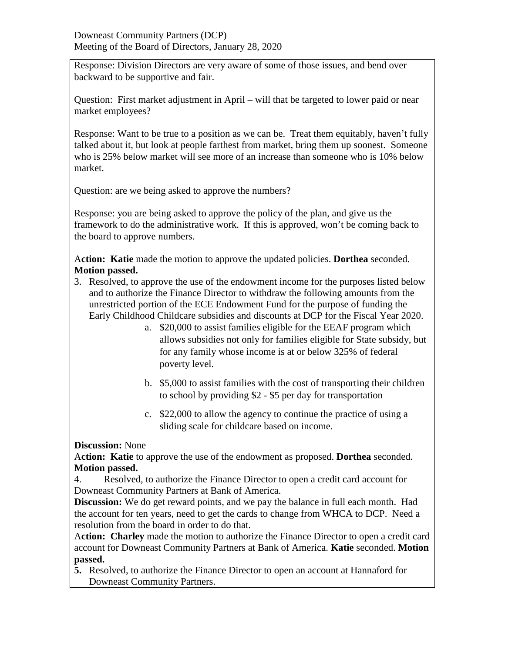Response: Division Directors are very aware of some of those issues, and bend over backward to be supportive and fair.

Question: First market adjustment in April – will that be targeted to lower paid or near market employees?

Response: Want to be true to a position as we can be. Treat them equitably, haven't fully talked about it, but look at people farthest from market, bring them up soonest. Someone who is 25% below market will see more of an increase than someone who is 10% below market.

Question: are we being asked to approve the numbers?

Response: you are being asked to approve the policy of the plan, and give us the framework to do the administrative work. If this is approved, won't be coming back to the board to approve numbers.

A**ction: Katie** made the motion to approve the updated policies. **Dorthea** seconded. **Motion passed.**

- 3. Resolved, to approve the use of the endowment income for the purposes listed below and to authorize the Finance Director to withdraw the following amounts from the unrestricted portion of the ECE Endowment Fund for the purpose of funding the Early Childhood Childcare subsidies and discounts at DCP for the Fiscal Year 2020.
	- a. \$20,000 to assist families eligible for the EEAF program which allows subsidies not only for families eligible for State subsidy, but for any family whose income is at or below 325% of federal poverty level.
	- b. \$5,000 to assist families with the cost of transporting their children to school by providing \$2 - \$5 per day for transportation
	- c. \$22,000 to allow the agency to continue the practice of using a sliding scale for childcare based on income.

**Discussion:** None

A**ction: Katie** to approve the use of the endowment as proposed. **Dorthea** seconded. **Motion passed.**

4. Resolved, to authorize the Finance Director to open a credit card account for Downeast Community Partners at Bank of America.

**Discussion:** We do get reward points, and we pay the balance in full each month. Had the account for ten years, need to get the cards to change from WHCA to DCP. Need a resolution from the board in order to do that.

A**ction: Charley** made the motion to authorize the Finance Director to open a credit card account for Downeast Community Partners at Bank of America. **Katie** seconded. **Motion passed.**

**5.** Resolved, to authorize the Finance Director to open an account at Hannaford for Downeast Community Partners.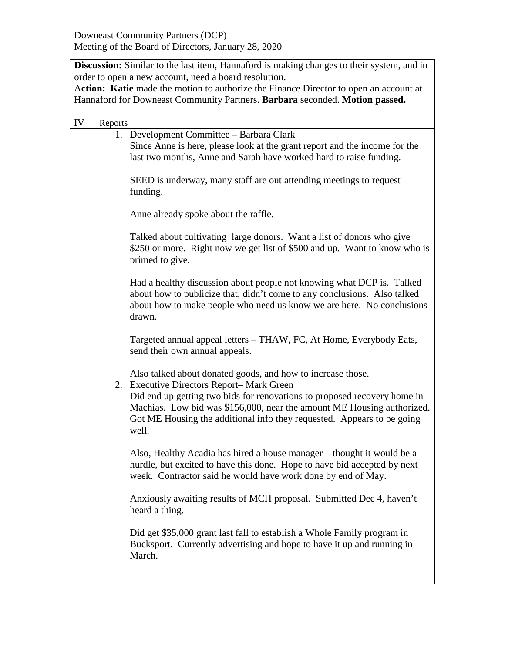**Discussion:** Similar to the last item, Hannaford is making changes to their system, and in order to open a new account, need a board resolution. A**ction: Katie** made the motion to authorize the Finance Director to open an account at Hannaford for Downeast Community Partners. **Barbara** seconded. **Motion passed.** IV Reports 1. Development Committee – Barbara Clark Since Anne is here, please look at the grant report and the income for the last two months, Anne and Sarah have worked hard to raise funding. SEED is underway, many staff are out attending meetings to request funding. Anne already spoke about the raffle. Talked about cultivating large donors. Want a list of donors who give \$250 or more. Right now we get list of \$500 and up. Want to know who is primed to give. Had a healthy discussion about people not knowing what DCP is. Talked about how to publicize that, didn't come to any conclusions. Also talked about how to make people who need us know we are here. No conclusions drawn. Targeted annual appeal letters – THAW, FC, At Home, Everybody Eats, send their own annual appeals. Also talked about donated goods, and how to increase those. 2. Executive Directors Report– Mark Green Did end up getting two bids for renovations to proposed recovery home in Machias. Low bid was \$156,000, near the amount ME Housing authorized. Got ME Housing the additional info they requested. Appears to be going well. Also, Healthy Acadia has hired a house manager – thought it would be a hurdle, but excited to have this done. Hope to have bid accepted by next week. Contractor said he would have work done by end of May. Anxiously awaiting results of MCH proposal. Submitted Dec 4, haven't heard a thing. Did get \$35,000 grant last fall to establish a Whole Family program in Bucksport. Currently advertising and hope to have it up and running in March.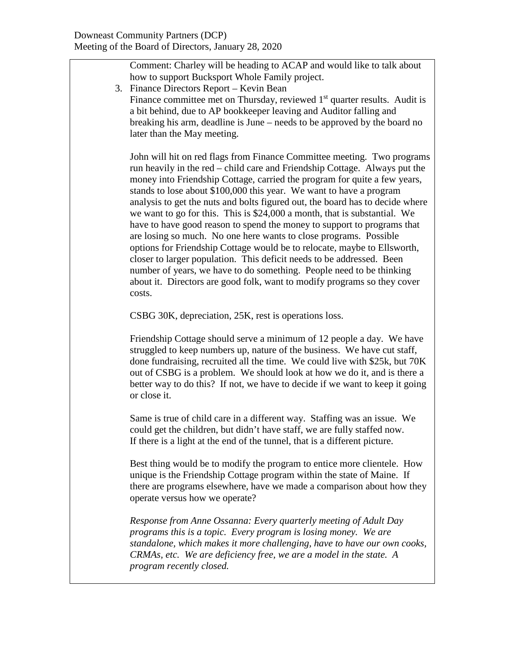Comment: Charley will be heading to ACAP and would like to talk about how to support Bucksport Whole Family project.

- 3. Finance Directors Report Kevin Bean
- Finance committee met on Thursday, reviewed  $1<sup>st</sup>$  quarter results. Audit is a bit behind, due to AP bookkeeper leaving and Auditor falling and breaking his arm, deadline is June – needs to be approved by the board no later than the May meeting.

John will hit on red flags from Finance Committee meeting. Two programs run heavily in the red – child care and Friendship Cottage. Always put the money into Friendship Cottage, carried the program for quite a few years, stands to lose about \$100,000 this year. We want to have a program analysis to get the nuts and bolts figured out, the board has to decide where we want to go for this. This is \$24,000 a month, that is substantial. We have to have good reason to spend the money to support to programs that are losing so much. No one here wants to close programs. Possible options for Friendship Cottage would be to relocate, maybe to Ellsworth, closer to larger population. This deficit needs to be addressed. Been number of years, we have to do something. People need to be thinking about it. Directors are good folk, want to modify programs so they cover costs.

CSBG 30K, depreciation, 25K, rest is operations loss.

Friendship Cottage should serve a minimum of 12 people a day. We have struggled to keep numbers up, nature of the business. We have cut staff, done fundraising, recruited all the time. We could live with \$25k, but 70K out of CSBG is a problem. We should look at how we do it, and is there a better way to do this? If not, we have to decide if we want to keep it going or close it.

Same is true of child care in a different way. Staffing was an issue. We could get the children, but didn't have staff, we are fully staffed now. If there is a light at the end of the tunnel, that is a different picture.

Best thing would be to modify the program to entice more clientele. How unique is the Friendship Cottage program within the state of Maine. If there are programs elsewhere, have we made a comparison about how they operate versus how we operate?

*Response from Anne Ossanna: Every quarterly meeting of Adult Day programs this is a topic. Every program is losing money. We are standalone, which makes it more challenging, have to have our own cooks, CRMAs, etc. We are deficiency free, we are a model in the state. A program recently closed.*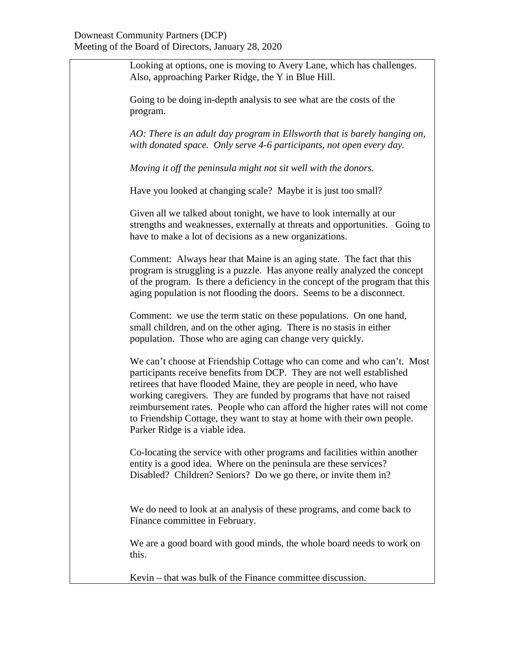Looking at options, one is moving to Avery Lane, which has challenges. Also, approaching Parker Ridge, the Y in Blue Hill.

Going to be doing in-depth analysis to see what are the costs of the program.

*AO: There is an adult day program in Ellsworth that is barely hanging on, with donated space. Only serve 4-6 participants, not open every day.*

*Moving it off the peninsula might not sit well with the donors.*

Have you looked at changing scale? Maybe it is just too small?

Given all we talked about tonight, we have to look internally at our strengths and weaknesses, externally at threats and opportunities. Going to have to make a lot of decisions as a new organizations.

Comment: Always hear that Maine is an aging state. The fact that this program is struggling is a puzzle. Has anyone really analyzed the concept of the program. Is there a deficiency in the concept of the program that this aging population is not flooding the doors. Seems to be a disconnect.

Comment: we use the term static on these populations. On one hand, small children, and on the other aging. There is no stasis in either population. Those who are aging can change very quickly.

We can't choose at Friendship Cottage who can come and who can't. Most participants receive benefits from DCP. They are not well established retirees that have flooded Maine, they are people in need, who have working caregivers. They are funded by programs that have not raised reimbursement rates. People who can afford the higher rates will not come to Friendship Cottage, they want to stay at home with their own people. Parker Ridge is a viable idea.

Co-locating the service with other programs and facilities within another entity is a good idea. Where on the peninsula are these services? Disabled? Children? Seniors? Do we go there, or invite them in?

We do need to look at an analysis of these programs, and come back to Finance committee in February.

We are a good board with good minds, the whole board needs to work on this.

Kevin – that was bulk of the Finance committee discussion.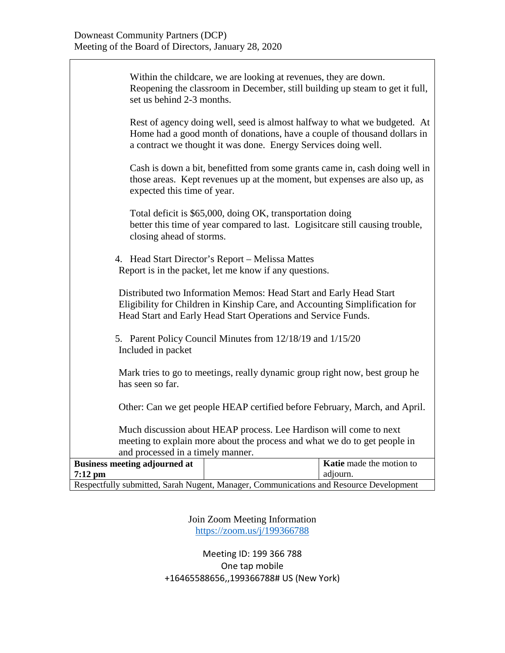$\mathsf I$ 

| Respectfully submitted, Sarah Nugent, Manager, Communications and Resource Development                                                                                                                             |                                                                                                                                                                                                                         |                          |  |  |
|--------------------------------------------------------------------------------------------------------------------------------------------------------------------------------------------------------------------|-------------------------------------------------------------------------------------------------------------------------------------------------------------------------------------------------------------------------|--------------------------|--|--|
| $7:12 \text{ pm}$                                                                                                                                                                                                  |                                                                                                                                                                                                                         | adjourn.                 |  |  |
| <b>Business meeting adjourned at</b>                                                                                                                                                                               |                                                                                                                                                                                                                         | Katie made the motion to |  |  |
| and processed in a timely manner.                                                                                                                                                                                  |                                                                                                                                                                                                                         |                          |  |  |
| meeting to explain more about the process and what we do to get people in                                                                                                                                          |                                                                                                                                                                                                                         |                          |  |  |
| Much discussion about HEAP process. Lee Hardison will come to next                                                                                                                                                 |                                                                                                                                                                                                                         |                          |  |  |
| Other: Can we get people HEAP certified before February, March, and April.                                                                                                                                         |                                                                                                                                                                                                                         |                          |  |  |
| Mark tries to go to meetings, really dynamic group right now, best group he<br>has seen so far.                                                                                                                    |                                                                                                                                                                                                                         |                          |  |  |
| 5. Parent Policy Council Minutes from 12/18/19 and 1/15/20<br>Included in packet                                                                                                                                   |                                                                                                                                                                                                                         |                          |  |  |
| Distributed two Information Memos: Head Start and Early Head Start<br>Eligibility for Children in Kinship Care, and Accounting Simplification for<br>Head Start and Early Head Start Operations and Service Funds. |                                                                                                                                                                                                                         |                          |  |  |
|                                                                                                                                                                                                                    | 4. Head Start Director's Report - Melissa Mattes<br>Report is in the packet, let me know if any questions.                                                                                                              |                          |  |  |
| closing ahead of storms.                                                                                                                                                                                           | Total deficit is \$65,000, doing OK, transportation doing<br>better this time of year compared to last. Logisitcare still causing trouble,                                                                              |                          |  |  |
| expected this time of year.                                                                                                                                                                                        | Cash is down a bit, benefitted from some grants came in, cash doing well in<br>those areas. Kept revenues up at the moment, but expenses are also up, as                                                                |                          |  |  |
|                                                                                                                                                                                                                    | Rest of agency doing well, seed is almost halfway to what we budgeted. At<br>Home had a good month of donations, have a couple of thousand dollars in<br>a contract we thought it was done. Energy Services doing well. |                          |  |  |
| set us behind 2-3 months.                                                                                                                                                                                          | Within the childcare, we are looking at revenues, they are down.<br>Reopening the classroom in December, still building up steam to get it full,                                                                        |                          |  |  |

Join Zoom Meeting Information <https://zoom.us/j/199366788>

Meeting ID: 199 366 788 One tap mobile +16465588656,,199366788# US (New York)